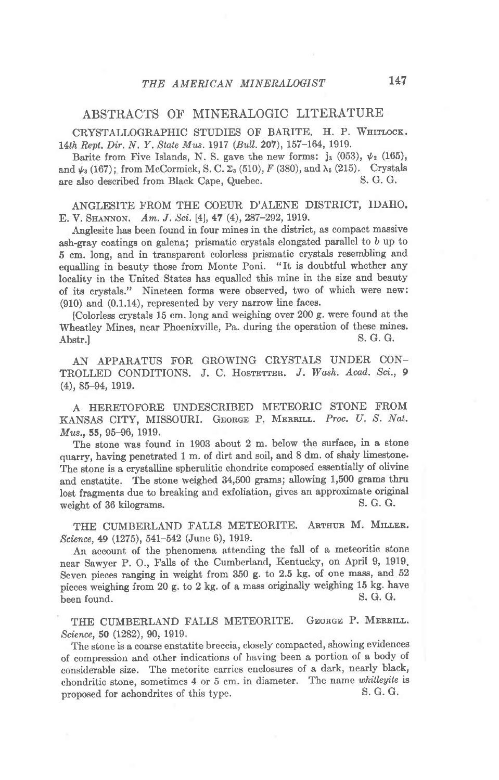## ABSTRACTS OF' MINERALOGIC LITERATURE

CRYSTALLOGRAPHIC STUDIES OF BARITE. H. P. WHITLOCK. 14th Rept. Dir. N. Y. State Mus. 1917 (Bull. 207), 157-164, 1919.

Barite from Five Islands, N. S. gave the new forms: j<sub>3</sub> (053),  $\psi_2$  (165), and  $\psi_3$  (167); from McCormick, S. C.  $\Sigma_3$  (510), F (380), and  $\lambda_5$  (215). Crystals are also described from Black Cape. Quebec. S. G. G. are also described from Black Cape, Quebec.

ANGLESITE FROM THE COEUR D'ALENE DISTRICT, IDAHO. E. V. SHANNON. Am. J. Sci. [4], 47 (4), 287-292, 1919.

Anglesite has been found in four mines in the district, as compact massive ash-gray coatings on galena; prismatic crystals elongated parallel to b up to 5 cm. long, and in transparent colorless prismatic crystals resembling and equalling in beauty those from Monte Poni. "It is doubtful whether any locality in the United States has equalled this mine in the size and beauty of its crystals." Nineteen formg were observed, two of which were new:  $(910)$  and  $(0.1.14)$ , represented by very narrow line faces.

[Colorless crystals 15 cm. long and weighing over 200 g. were found at the Wheatley Mines, near Phoenixville, Pa. during the operation of these mines.<br>Abstr l S. G. G.  $\Delta$ bstr.] S. G. G.

AN APPARATUS FOR GROWING CRYSTALS UNDER CON-TROLLED CONDITIONS. J. C. HOSTETTER. J. Wash. Acad. Sci., 9 (4),85-94, 1919.

A HERETOFORE UNDESCRIBED METEORIC STONE FROM KANSAS CITY, MISSOURI. GEORGE P. MERRILL. Proc. U. S. Nat. Mus., 55, 95-96, 1919.

The stone was found in 1903 about 2 m. below the surface, in a etone quarry, having penetrated 1 m. of dirt and soil, and 8 dm. of shaly limestone' The stone is a crystalline spherulitic chondrite composed essentially of olivine and enstatite, The stone weighed 34,500 grams; allowing 1,500 grams thru lost fragments due to breaking and exfoliation, gives an approximate original weight of 36 kilograms.

THE CUMBERLAND FALLS METEORITE. ARTHUR M. MILLER. Science, 49 (1275), 541-542 (June 6), 1919.

An account of the phenomena attending the fall of a meteoritic stone near Sawyer P. O., Falls of the Cumberland, Kentucky, on April 9, 1919. Seven pieces ranging in weight from 350 g. to 2.5 kg. of one mass, and 52 pieces weighing from 20 g. to 2 kg. of a mass originally weighing 15 kg. have<br>been found S. G. G. been found.

THE CUMBERLAND FALLS METEORITE. GEORGE P. MERRILL. Science, S0 (1282), 90, 1919,

The stone is a coarse enstatite breccia, closely compacted, showing evidences of compression and other indications of having been a portion of a body of considerable size. The metorite carries enclosures of a dark, nearly black, chondritic stone, sometimes  $4 \text{ or } 5 \text{ cm}$ . in diameter. The name whitleyite is<br>proposed for achondrites of this type  $S, G, G$ . proposed for achondrites of this type.